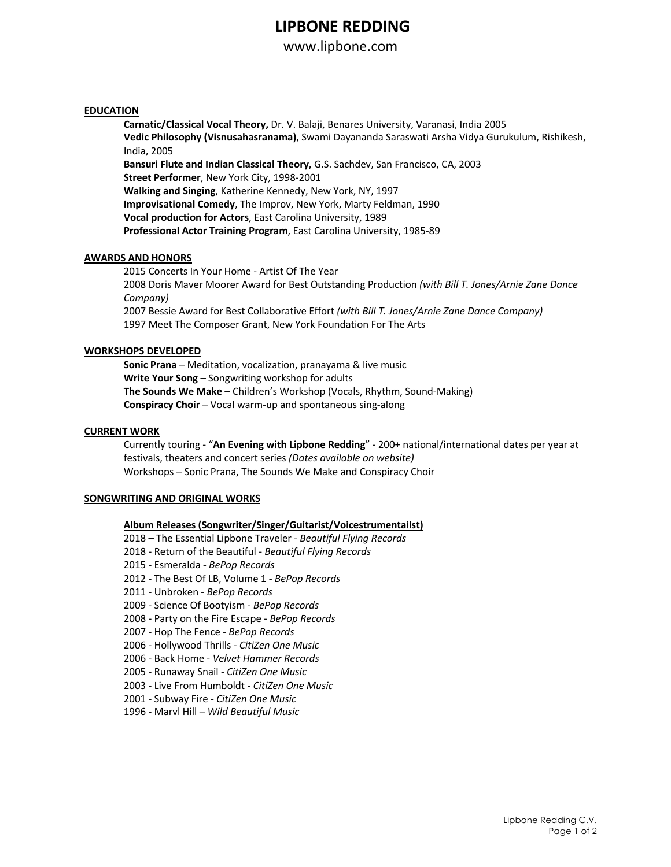## **LIPBONE REDDING**

www.lipbone.com

### **EDUCATION**

**Carnatic/Classical Vocal Theory,** Dr. V. Balaji, Benares University, Varanasi, India 2005 **Vedic Philosophy (Visnusahasranama)**, Swami Dayananda Saraswati Arsha Vidya Gurukulum, Rishikesh, India, 2005 **Bansuri Flute and Indian Classical Theory,** G.S. Sachdev, San Francisco, CA, 2003 **Street Performer**, New York City, 1998-2001 **Walking and Singing**, Katherine Kennedy, New York, NY, 1997 **Improvisational Comedy**, The Improv, New York, Marty Feldman, 1990 **Vocal production for Actors**, East Carolina University, 1989 **Professional Actor Training Program**, East Carolina University, 1985-89

## **AWARDS AND HONORS**

2015 Concerts In Your Home - Artist Of The Year 2008 Doris Maver Moorer Award for Best Outstanding Production *(with Bill T. Jones/Arnie Zane Dance Company)* 2007 Bessie Award for Best Collaborative Effort *(with Bill T. Jones/Arnie Zane Dance Company)* 1997 Meet The Composer Grant, New York Foundation For The Arts

### **WORKSHOPS DEVELOPED**

**Sonic Prana** – Meditation, vocalization, pranayama & live music **Write Your Song** – Songwriting workshop for adults **The Sounds We Make** – Children's Workshop (Vocals, Rhythm, Sound-Making) **Conspiracy Choir** – Vocal warm-up and spontaneous sing-along

#### **CURRENT WORK**

Currently touring - "**An Evening with Lipbone Redding**" - 200+ national/international dates per year at festivals, theaters and concert series *(Dates available on website)* Workshops – Sonic Prana, The Sounds We Make and Conspiracy Choir

#### **SONGWRITING AND ORIGINAL WORKS**

### **Album Releases (Songwriter/Singer/Guitarist/Voicestrumentailst)**

- 2018 The Essential Lipbone Traveler *Beautiful Flying Records*
- 2018 Return of the Beautiful *Beautiful Flying Records*
- 2015 Esmeralda *BePop Records*
- 2012 The Best Of LB, Volume 1 *BePop Records*
- 2011 Unbroken *BePop Records*
- 2009 Science Of Bootyism *BePop Records*
- 2008 Party on the Fire Escape *BePop Records*
- 2007 Hop The Fence *BePop Records*
- 2006 Hollywood Thrills *CitiZen One Music*
- 2006 Back Home *Velvet Hammer Records*
- 2005 Runaway Snail *CitiZen One Music*
- 2003 Live From Humboldt *CitiZen One Music*
- 2001 Subway Fire *- CitiZen One Music*
- 1996 Marvl Hill *Wild Beautiful Music*